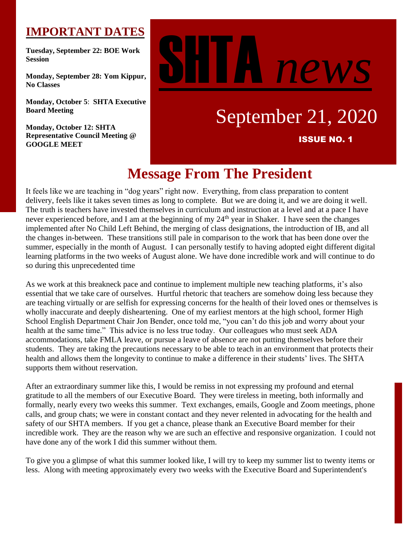# **IMPORTANT DATES**

**Tuesday, September 22: BOE Work Session**

**Monday, September 28: Yom Kippur, No Classes**

**Monday, October 5**: **SHTA Executive Board Meeting**

**Monday, October 12: SHTA Representative Council Meeting @ GOOGLE MEET**

# news

# September 21, 2020

ISSUE NO. 1

# **Message From The President**

It feels like we are teaching in "dog years" right now. Everything, from class preparation to content delivery, feels like it takes seven times as long to complete. But we are doing it, and we are doing it well. The truth is teachers have invested themselves in curriculum and instruction at a level and at a pace I have never experienced before, and I am at the beginning of my 24<sup>th</sup> year in Shaker. I have seen the changes implemented after No Child Left Behind, the merging of class designations, the introduction of IB, and all the changes in-between. These transitions still pale in comparison to the work that has been done over the summer, especially in the month of August. I can personally testify to having adopted eight different digital learning platforms in the two weeks of August alone. We have done incredible work and will continue to do so during this unprecedented time

As we work at this breakneck pace and continue to implement multiple new teaching platforms, it's also essential that we take care of ourselves. Hurtful rhetoric that teachers are somehow doing less because they are teaching virtually or are selfish for expressing concerns for the health of their loved ones or themselves is wholly inaccurate and deeply disheartening. One of my earliest mentors at the high school, former High School English Department Chair Jon Bender, once told me, "you can't do this job and worry about your health at the same time." This advice is no less true today. Our colleagues who must seek ADA accommodations, take FMLA leave, or pursue a leave of absence are not putting themselves before their students. They are taking the precautions necessary to be able to teach in an environment that protects their health and allows them the longevity to continue to make a difference in their students' lives. The SHTA supports them without reservation.

After an extraordinary summer like this, I would be remiss in not expressing my profound and eternal gratitude to all the members of our Executive Board. They were tireless in meeting, both informally and formally, nearly every two weeks this summer. Text exchanges, emails, Google and Zoom meetings, phone calls, and group chats; we were in constant contact and they never relented in advocating for the health and safety of our SHTA members. If you get a chance, please thank an Executive Board member for their incredible work. They are the reason why we are such an effective and responsive organization. I could not have done any of the work I did this summer without them.

To give you a glimpse of what this summer looked like, I will try to keep my summer list to twenty items or less. Along with meeting approximately every two weeks with the Executive Board and Superintendent's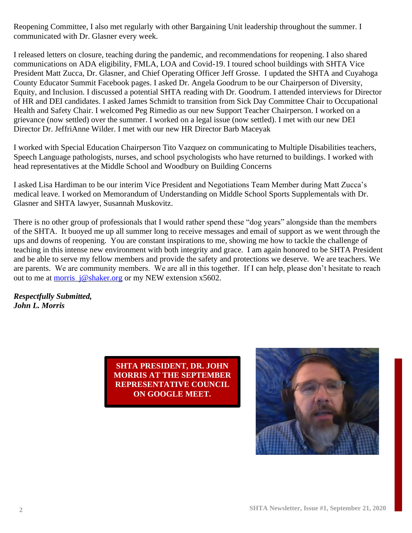Reopening Committee, I also met regularly with other Bargaining Unit leadership throughout the summer. I communicated with Dr. Glasner every week.

I released letters on closure, teaching during the pandemic, and recommendations for reopening. I also shared communications on ADA eligibility, FMLA, LOA and Covid-19. I toured school buildings with SHTA Vice President Matt Zucca, Dr. Glasner, and Chief Operating Officer Jeff Grosse. I updated the SHTA and Cuyahoga County Educator Summit Facebook pages. I asked Dr. Angela Goodrum to be our Chairperson of Diversity, Equity, and Inclusion. I discussed a potential SHTA reading with Dr. Goodrum. I attended interviews for Director of HR and DEI candidates. I asked James Schmidt to transition from Sick Day Committee Chair to Occupational Health and Safety Chair. I welcomed Peg Rimedio as our new Support Teacher Chairperson. I worked on a grievance (now settled) over the summer. I worked on a legal issue (now settled). I met with our new DEI Director Dr. JeffriAnne Wilder. I met with our new HR Director Barb Maceyak

I worked with Special Education Chairperson Tito Vazquez on communicating to Multiple Disabilities teachers, Speech Language pathologists, nurses, and school psychologists who have returned to buildings. I worked with head representatives at the Middle School and Woodbury on Building Concerns

I asked Lisa Hardiman to be our interim Vice President and Negotiations Team Member during Matt Zucca's medical leave. I worked on Memorandum of Understanding on Middle School Sports Supplementals with Dr. Glasner and SHTA lawyer, Susannah Muskovitz.

There is no other group of professionals that I would rather spend these "dog years" alongside than the members of the SHTA. It buoyed me up all summer long to receive messages and email of support as we went through the ups and downs of reopening. You are constant inspirations to me, showing me how to tackle the challenge of teaching in this intense new environment with both integrity and grace. I am again honored to be SHTA President and be able to serve my fellow members and provide the safety and protections we deserve. We are teachers. We are parents. We are community members. We are all in this together. If I can help, please don't hesitate to reach out to me at [morris\\_j@shaker.org](mailto:morris_j@shaker.org) or my NEW extension x5602.

*Respectfully Submitted, John L. Morris*

> **SHTA PRESIDENT, DR. JOHN MORRIS AT THE SEPTEMBER REPRESENTATIVE COUNCIL ON GOOGLE MEET.**

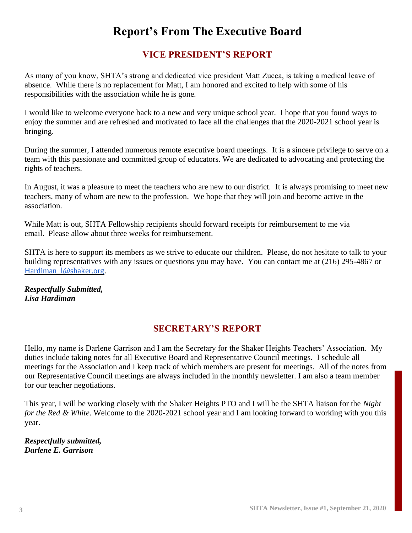# **Report's From The Executive Board**

# **VICE PRESIDENT'S REPORT**

As many of you know, SHTA's strong and dedicated vice president Matt Zucca, is taking a medical leave of absence. While there is no replacement for Matt, I am honored and excited to help with some of his responsibilities with the association while he is gone.

I would like to welcome everyone back to a new and very unique school year. I hope that you found ways to enjoy the summer and are refreshed and motivated to face all the challenges that the 2020-2021 school year is bringing.

During the summer, I attended numerous remote executive board meetings. It is a sincere privilege to serve on a team with this passionate and committed group of educators. We are dedicated to advocating and protecting the rights of teachers.

In August, it was a pleasure to meet the teachers who are new to our district. It is always promising to meet new teachers, many of whom are new to the profession. We hope that they will join and become active in the association.

While Matt is out, SHTA Fellowship recipients should forward receipts for reimbursement to me via email. Please allow about three weeks for reimbursement.

SHTA is here to support its members as we strive to educate our children. Please, do not hesitate to talk to your building representatives with any issues or questions you may have. You can contact me at (216) 295-4867 or Hardiman 1@shaker.org.

*Respectfully Submitted, Lisa Hardiman*

# **SECRETARY'S REPORT**

Hello, my name is Darlene Garrison and I am the Secretary for the Shaker Heights Teachers' Association. My duties include taking notes for all Executive Board and Representative Council meetings. I schedule all meetings for the Association and I keep track of which members are present for meetings. All of the notes from our Representative Council meetings are always included in the monthly newsletter. I am also a team member for our teacher negotiations.

This year, I will be working closely with the Shaker Heights PTO and I will be the SHTA liaison for the *Night for the Red & White*. Welcome to the 2020-2021 school year and I am looking forward to working with you this year.

*Respectfully submitted, Darlene E. Garrison*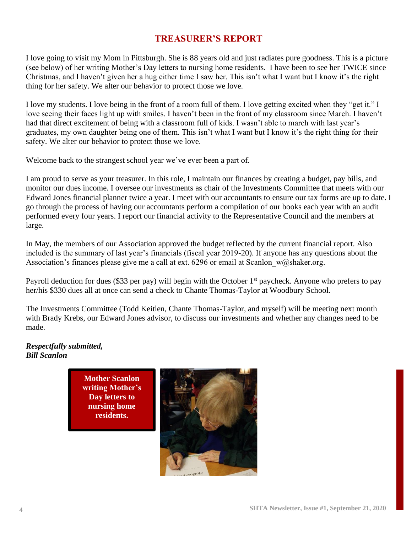# **TREASURER'S REPORT**

I love going to visit my Mom in Pittsburgh. She is 88 years old and just radiates pure goodness. This is a picture (see below) of her writing Mother's Day letters to nursing home residents. I have been to see her TWICE since Christmas, and I haven't given her a hug either time I saw her. This isn't what I want but I know it's the right thing for her safety. We alter our behavior to protect those we love.

I love my students. I love being in the front of a room full of them. I love getting excited when they "get it." I love seeing their faces light up with smiles. I haven't been in the front of my classroom since March. I haven't had that direct excitement of being with a classroom full of kids. I wasn't able to march with last year's graduates, my own daughter being one of them. This isn't what I want but I know it's the right thing for their safety. We alter our behavior to protect those we love.

Welcome back to the strangest school year we've ever been a part of.

I am proud to serve as your treasurer. In this role, I maintain our finances by creating a budget, pay bills, and monitor our dues income. I oversee our investments as chair of the Investments Committee that meets with our Edward Jones financial planner twice a year. I meet with our accountants to ensure our tax forms are up to date. I go through the process of having our accountants perform a compilation of our books each year with an audit performed every four years. I report our financial activity to the Representative Council and the members at large.

In May, the members of our Association approved the budget reflected by the current financial report. Also included is the summary of last year's financials (fiscal year 2019-20). If anyone has any questions about the Association's finances please give me a call at ext. 6296 or email at Scanlon  $w@s$ haker.org.

Payroll deduction for dues (\$33 per pay) will begin with the October 1<sup>st</sup> paycheck. Anyone who prefers to pay her/his \$330 dues all at once can send a check to Chante Thomas-Taylor at Woodbury School.

The Investments Committee (Todd Keitlen, Chante Thomas-Taylor, and myself) will be meeting next month with Brady Krebs, our Edward Jones advisor, to discuss our investments and whether any changes need to be made.

#### *Respectfully submitted, Bill Scanlon*

**Mother Scanlon writing Mother's Day letters to nursing home residents.** 

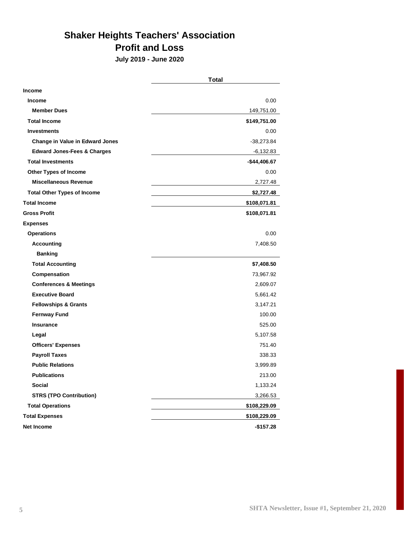# **Shaker Heights Teachers' Association Profit and Loss**

**July 2019 - June 2020**

|                                        | <b>Total</b>  |
|----------------------------------------|---------------|
| <b>Income</b>                          |               |
| <b>Income</b>                          | 0.00          |
| <b>Member Dues</b>                     | 149,751.00    |
| <b>Total Income</b>                    | \$149,751.00  |
| <b>Investments</b>                     | 0.00          |
| <b>Change in Value in Edward Jones</b> | -38,273.84    |
| <b>Edward Jones-Fees &amp; Charges</b> | -6,132.83     |
| <b>Total Investments</b>               | $-$44,406.67$ |
| <b>Other Types of Income</b>           | 0.00          |
| <b>Miscellaneous Revenue</b>           | 2,727.48      |
| <b>Total Other Types of Income</b>     | \$2,727.48    |
| <b>Total Income</b>                    | \$108,071.81  |
| <b>Gross Profit</b>                    | \$108,071.81  |
| <b>Expenses</b>                        |               |
| <b>Operations</b>                      | 0.00          |
| <b>Accounting</b>                      | 7,408.50      |
| <b>Banking</b>                         |               |
| <b>Total Accounting</b>                | \$7,408.50    |
| Compensation                           | 73,967.92     |
| <b>Conferences &amp; Meetings</b>      | 2,609.07      |
| <b>Executive Board</b>                 | 5,661.42      |
| <b>Fellowships &amp; Grants</b>        | 3,147.21      |
| <b>Fernway Fund</b>                    | 100.00        |
| <b>Insurance</b>                       | 525.00        |
| Legal                                  | 5,107.58      |
| <b>Officers' Expenses</b>              | 751.40        |
| <b>Payroll Taxes</b>                   | 338.33        |
| <b>Public Relations</b>                | 3,999.89      |
| Publications                           | 213.00        |
| <b>Social</b>                          | 1,133.24      |
| <b>STRS (TPO Contribution)</b>         | 3,266.53      |
| <b>Total Operations</b>                | \$108,229.09  |
| <b>Total Expenses</b>                  | \$108,229.09  |
| <b>Net Income</b>                      | $-$157.28$    |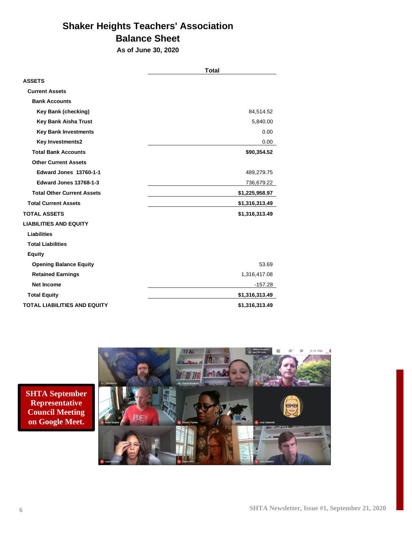# **Shaker Heights Teachers' Association Balance Sheet**

**As of June 30, 2020**

|                                     | <b>Total</b>   |
|-------------------------------------|----------------|
| <b>ASSETS</b>                       |                |
| <b>Current Assets</b>               |                |
| <b>Bank Accounts</b>                |                |
| <b>Key Bank (checking)</b>          | 84,514.52      |
| <b>Key Bank Aisha Trust</b>         | 5,840.00       |
| <b>Key Bank Investments</b>         | 0.00           |
| <b>Key Investments2</b>             | 0.00           |
| <b>Total Bank Accounts</b>          | \$90,354.52    |
| <b>Other Current Assets</b>         |                |
| Edward Jones 13760-1-1              | 489,279.75     |
| Edward Jones 13768-1-3              | 736,679.22     |
| <b>Total Other Current Assets</b>   | \$1,225,958.97 |
| <b>Total Current Assets</b>         | \$1,316,313.49 |
| <b>TOTAL ASSETS</b>                 | \$1,316,313.49 |
| <b>LIABILITIES AND EQUITY</b>       |                |
| <b>Liabilities</b>                  |                |
| <b>Total Liabilities</b>            |                |
| <b>Equity</b>                       |                |
| <b>Opening Balance Equity</b>       | 53.69          |
| <b>Retained Earnings</b>            | 1,316,417.08   |
| <b>Net Income</b>                   | $-157.28$      |
| <b>Total Equity</b>                 | \$1,316,313.49 |
| <b>TOTAL LIABILITIES AND EQUITY</b> | \$1,316,313.49 |

**SHTA September Representative Council Meeting on Google Meet.** 

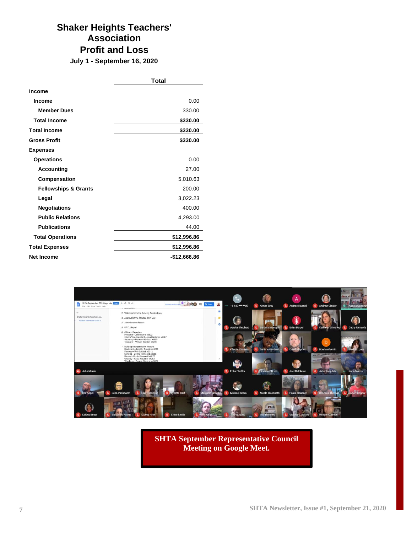# **Shaker Heights Teachers' Association Profit and Loss**

**July 1 - September 16, 2020**

|                                 | <b>Total</b> |
|---------------------------------|--------------|
| <b>Income</b>                   |              |
| <b>Income</b>                   | 0.00         |
| <b>Member Dues</b>              | 330.00       |
| <b>Total Income</b>             | \$330.00     |
| <b>Total Income</b>             | \$330.00     |
| <b>Gross Profit</b>             | \$330.00     |
| <b>Expenses</b>                 |              |
| <b>Operations</b>               | 0.00         |
| <b>Accounting</b>               | 27.00        |
| Compensation                    | 5,010.63     |
| <b>Fellowships &amp; Grants</b> | 200.00       |
| Legal                           | 3,022.23     |
| <b>Negotiations</b>             | 400.00       |
| <b>Public Relations</b>         | 4,293.00     |
| <b>Publications</b>             | 44.00        |
| <b>Total Operations</b>         | \$12,996.86  |
| <b>Total Expenses</b>           | \$12,996.86  |
| <b>Net Income</b>               | -\$12,666.86 |



**SHTA September Representative Council Meeting on Google Meet.**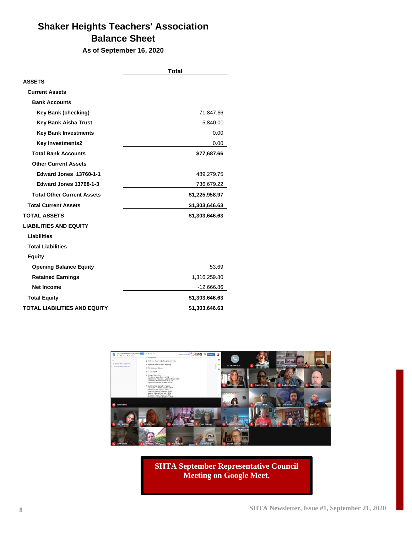# **Shaker Heights Teachers' Association Balance Sheet**

**As of September 16, 2020**

|                                     | Total          |
|-------------------------------------|----------------|
| <b>ASSETS</b>                       |                |
| <b>Current Assets</b>               |                |
| <b>Bank Accounts</b>                |                |
| <b>Key Bank (checking)</b>          | 71,847.66      |
| <b>Key Bank Aisha Trust</b>         | 5,840.00       |
| <b>Key Bank Investments</b>         | 0.00           |
| <b>Key Investments2</b>             | 0.00           |
| <b>Total Bank Accounts</b>          | \$77,687.66    |
| <b>Other Current Assets</b>         |                |
| <b>Edward Jones 13760-1-1</b>       | 489,279.75     |
| <b>Edward Jones 13768-1-3</b>       | 736,679.22     |
| <b>Total Other Current Assets</b>   | \$1,225,958.97 |
| <b>Total Current Assets</b>         | \$1,303,646.63 |
| <b>TOTAL ASSETS</b>                 | \$1,303,646.63 |
| <b>LIABILITIES AND EQUITY</b>       |                |
| <b>Liabilities</b>                  |                |
| <b>Total Liabilities</b>            |                |
| <b>Equity</b>                       |                |
| <b>Opening Balance Equity</b>       | 53.69          |
| <b>Retained Earnings</b>            | 1,316,259.80   |
| <b>Net Income</b>                   | $-12,666.86$   |
| <b>Total Equity</b>                 | \$1,303,646.63 |
| <b>TOTAL LIABILITIES AND EQUITY</b> | \$1,303,646.63 |



**SHTA September Representative Council Meeting on Google Meet.**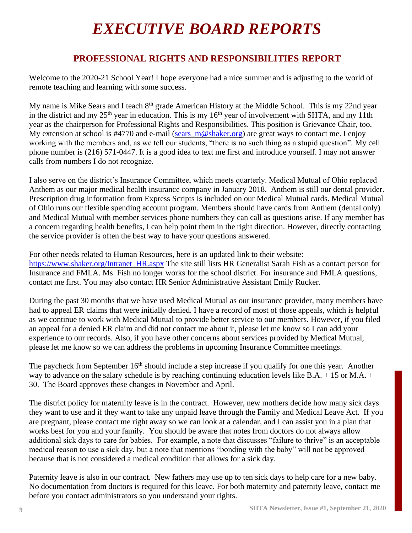# *EXECUTIVE BOARD REPORTS*

# **PROFESSIONAL RIGHTS AND RESPONSIBILITIES REPORT**

Welcome to the 2020-21 School Year! I hope everyone had a nice summer and is adjusting to the world of remote teaching and learning with some success.

My name is Mike Sears and I teach 8<sup>th</sup> grade American History at the Middle School. This is my 22nd year in the district and my  $25<sup>th</sup>$  year in education. This is my  $16<sup>th</sup>$  year of involvement with SHTA, and my 11th year as the chairperson for Professional Rights and Responsibilities. This position is Grievance Chair, too. My extension at school is #4770 and e-mail (sears  $m@shaker.org$ ) are great ways to contact me. I enjoy working with the members and, as we tell our students, "there is no such thing as a stupid question". My cell phone number is (216) 571-0447. It is a good idea to text me first and introduce yourself. I may not answer calls from numbers I do not recognize.

I also serve on the district's Insurance Committee, which meets quarterly. Medical Mutual of Ohio replaced Anthem as our major medical health insurance company in January 2018. Anthem is still our dental provider. Prescription drug information from Express Scripts is included on our Medical Mutual cards. Medical Mutual of Ohio runs our flexible spending account program. Members should have cards from Anthem (dental only) and Medical Mutual with member services phone numbers they can call as questions arise. If any member has a concern regarding health benefits, I can help point them in the right direction. However, directly contacting the service provider is often the best way to have your questions answered.

For other needs related to Human Resources, here is an updated link to their website: [https://www.shaker.org/Intranet\\_HR.aspx](https://www.shaker.org/Intranet_HR.aspx) The site still lists HR Generalist Sarah Fish as a contact person for Insurance and FMLA. Ms. Fish no longer works for the school district. For insurance and FMLA questions, contact me first. You may also contact HR Senior Administrative Assistant Emily Rucker.

During the past 30 months that we have used Medical Mutual as our insurance provider, many members have had to appeal ER claims that were initially denied. I have a record of most of those appeals, which is helpful as we continue to work with Medical Mutual to provide better service to our members. However, if you filed an appeal for a denied ER claim and did not contact me about it, please let me know so I can add your experience to our records. Also, if you have other concerns about services provided by Medical Mutual, please let me know so we can address the problems in upcoming Insurance Committee meetings.

The paycheck from September 16<sup>th</sup> should include a step increase if you qualify for one this year. Another way to advance on the salary schedule is by reaching continuing education levels like B.A. + 15 or M.A. + 30. The Board approves these changes in November and April.

The district policy for maternity leave is in the contract. However, new mothers decide how many sick days they want to use and if they want to take any unpaid leave through the Family and Medical Leave Act. If you are pregnant, please contact me right away so we can look at a calendar, and I can assist you in a plan that works best for you and your family. You should be aware that notes from doctors do not always allow additional sick days to care for babies. For example, a note that discusses "failure to thrive" is an acceptable medical reason to use a sick day, but a note that mentions "bonding with the baby" will not be approved because that is not considered a medical condition that allows for a sick day.

Paternity leave is also in our contract. New fathers may use up to ten sick days to help care for a new baby. No documentation from doctors is required for this leave. For both maternity and paternity leave, contact me before you contact administrators so you understand your rights.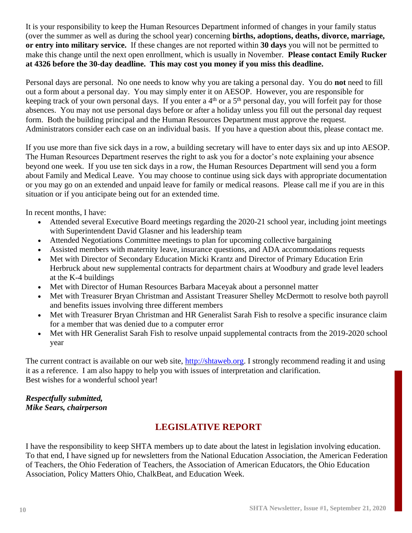It is your responsibility to keep the Human Resources Department informed of changes in your family status (over the summer as well as during the school year) concerning **births, adoptions, deaths, divorce, marriage, or entry into military service.** If these changes are not reported within **30 days** you will not be permitted to make this change until the next open enrollment, which is usually in November. **Please contact Emily Rucker at 4326 before the 30-day deadline. This may cost you money if you miss this deadline.**

Personal days are personal. No one needs to know why you are taking a personal day. You do **not** need to fill out a form about a personal day. You may simply enter it on AESOP. However, you are responsible for keeping track of your own personal days. If you enter a  $4<sup>th</sup>$  or a  $5<sup>th</sup>$  personal day, you will forfeit pay for those absences. You may not use personal days before or after a holiday unless you fill out the personal day request form. Both the building principal and the Human Resources Department must approve the request. Administrators consider each case on an individual basis. If you have a question about this, please contact me.

If you use more than five sick days in a row, a building secretary will have to enter days six and up into AESOP. The Human Resources Department reserves the right to ask you for a doctor's note explaining your absence beyond one week. If you use ten sick days in a row, the Human Resources Department will send you a form about Family and Medical Leave. You may choose to continue using sick days with appropriate documentation or you may go on an extended and unpaid leave for family or medical reasons. Please call me if you are in this situation or if you anticipate being out for an extended time.

In recent months, I have:

- Attended several Executive Board meetings regarding the 2020-21 school year, including joint meetings with Superintendent David Glasner and his leadership team
- Attended Negotiations Committee meetings to plan for upcoming collective bargaining
- Assisted members with maternity leave, insurance questions, and ADA accommodations requests
- Met with Director of Secondary Education Micki Krantz and Director of Primary Education Erin Herbruck about new supplemental contracts for department chairs at Woodbury and grade level leaders at the K-4 buildings
- Met with Director of Human Resources Barbara Maceyak about a personnel matter
- Met with Treasurer Bryan Christman and Assistant Treasurer Shelley McDermott to resolve both payroll and benefits issues involving three different members
- Met with Treasurer Bryan Christman and HR Generalist Sarah Fish to resolve a specific insurance claim for a member that was denied due to a computer error
- Met with HR Generalist Sarah Fish to resolve unpaid supplemental contracts from the 2019-2020 school year

The current contract is available on our web site, [http://shtaweb.org.](http://shtaweb.org/) I strongly recommend reading it and using it as a reference. I am also happy to help you with issues of interpretation and clarification. Best wishes for a wonderful school year!

#### *Respectfully submitted, Mike Sears, chairperson*

# **LEGISLATIVE REPORT**

I have the responsibility to keep SHTA members up to date about the latest in legislation involving education. To that end, I have signed up for newsletters from the National Education Association, the American Federation of Teachers, the Ohio Federation of Teachers, the Association of American Educators, the Ohio Education Association, Policy Matters Ohio, ChalkBeat, and Education Week.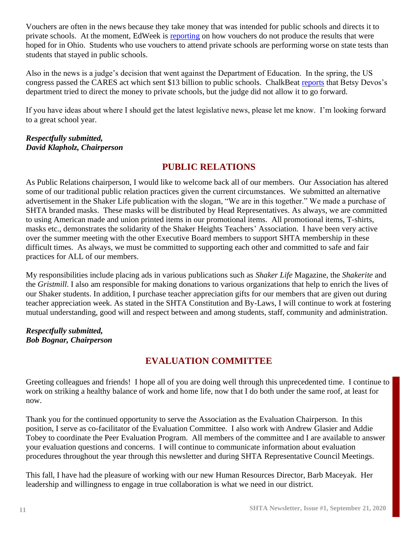Vouchers are often in the news because they take money that was intended for public schools and directs it to private schools. At the moment, EdWeek is [reporting](http://blogs.edweek.org/edweek/charterschoice/2016/07/ohio_vouchers_have_mixed_impact_on_student_performance_study_finds.html) on how vouchers do not produce the results that were hoped for in Ohio. Students who use vouchers to attend private schools are performing worse on state tests than students that stayed in public schools.

Also in the news is a judge's decision that went against the Department of Education. In the spring, the US congress passed the CARES act which sent \$13 billion to public schools. ChalkBeat [reports](https://www.chalkbeat.org/2020/9/8/21427198/judge-devos-private-schools-rule) that Betsy Devos's department tried to direct the money to private schools, but the judge did not allow it to go forward.

If you have ideas about where I should get the latest legislative news, please let me know. I'm looking forward to a great school year.

#### *Respectfully submitted, David Klapholz, Chairperson*

## **PUBLIC RELATIONS**

As Public Relations chairperson, I would like to welcome back all of our members. Our Association has altered some of our traditional public relation practices given the current circumstances. We submitted an alternative advertisement in the Shaker Life publication with the slogan, "We are in this together." We made a purchase of SHTA branded masks. These masks will be distributed by Head Representatives. As always, we are committed to using American made and union printed items in our promotional items. All promotional items, T-shirts, masks etc., demonstrates the solidarity of the Shaker Heights Teachers' Association. I have been very active over the summer meeting with the other Executive Board members to support SHTA membership in these difficult times. As always, we must be committed to supporting each other and committed to safe and fair practices for ALL of our members.

My responsibilities include placing ads in various publications such as *Shaker Life* Magazine, the *Shakerite* and the *Gristmill*. I also am responsible for making donations to various organizations that help to enrich the lives of our Shaker students. In addition, I purchase teacher appreciation gifts for our members that are given out during teacher appreciation week. As stated in the SHTA Constitution and By-Laws, I will continue to work at fostering mutual understanding, good will and respect between and among students, staff, community and administration.

#### *Respectfully submitted, Bob Bognar, Chairperson*

# **EVALUATION COMMITTEE**

Greeting colleagues and friends! I hope all of you are doing well through this unprecedented time. I continue to work on striking a healthy balance of work and home life, now that I do both under the same roof, at least for now.

Thank you for the continued opportunity to serve the Association as the Evaluation Chairperson. In this position, I serve as co-facilitator of the Evaluation Committee. I also work with Andrew Glasier and Addie Tobey to coordinate the Peer Evaluation Program. All members of the committee and I are available to answer your evaluation questions and concerns. I will continue to communicate information about evaluation procedures throughout the year through this newsletter and during SHTA Representative Council Meetings.

This fall, I have had the pleasure of working with our new Human Resources Director, Barb Maceyak. Her leadership and willingness to engage in true collaboration is what we need in our district.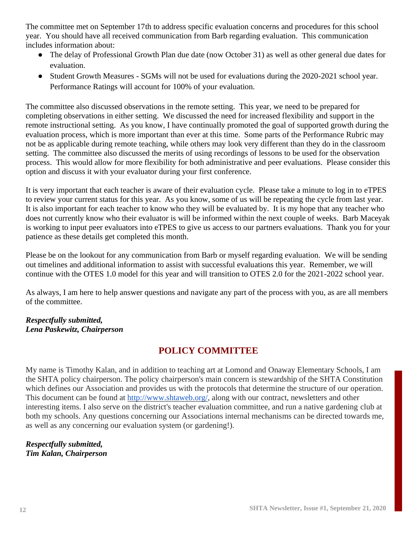The committee met on September 17th to address specific evaluation concerns and procedures for this school year. You should have all received communication from Barb regarding evaluation. This communication includes information about:

- The delay of Professional Growth Plan due date (now October 31) as well as other general due dates for evaluation.
- Student Growth Measures SGMs will not be used for evaluations during the 2020-2021 school year. Performance Ratings will account for 100% of your evaluation.

The committee also discussed observations in the remote setting. This year, we need to be prepared for completing observations in either setting. We discussed the need for increased flexibility and support in the remote instructional setting. As you know, I have continually promoted the goal of supported growth during the evaluation process, which is more important than ever at this time. Some parts of the Performance Rubric may not be as applicable during remote teaching, while others may look very different than they do in the classroom setting. The committee also discussed the merits of using recordings of lessons to be used for the observation process. This would allow for more flexibility for both administrative and peer evaluations. Please consider this option and discuss it with your evaluator during your first conference.

It is very important that each teacher is aware of their evaluation cycle. Please take a minute to log in to eTPES to review your current status for this year. As you know, some of us will be repeating the cycle from last year. It is also important for each teacher to know who they will be evaluated by. It is my hope that any teacher who does not currently know who their evaluator is will be informed within the next couple of weeks. Barb Maceyak is working to input peer evaluators into eTPES to give us access to our partners evaluations. Thank you for your patience as these details get completed this month.

Please be on the lookout for any communication from Barb or myself regarding evaluation. We will be sending out timelines and additional information to assist with successful evaluations this year. Remember, we will continue with the OTES 1.0 model for this year and will transition to OTES 2.0 for the 2021-2022 school year.

As always, I am here to help answer questions and navigate any part of the process with you, as are all members of the committee.

#### *Respectfully submitted, Lena Paskewitz, Chairperson*

# **POLICY COMMITTEE**

My name is Timothy Kalan, and in addition to teaching art at Lomond and Onaway Elementary Schools, I am the SHTA policy chairperson. The policy chairperson's main concern is stewardship of the SHTA Constitution which defines our Association and provides us with the protocols that determine the structure of our operation. This document can be found at [http://www.shtaweb.org/,](http://www.shtaweb.org/) along with our contract, newsletters and other interesting items. I also serve on the district's teacher evaluation committee, and run a native gardening club at both my schools. Any questions concerning our Associations internal mechanisms can be directed towards me, as well as any concerning our evaluation system (or gardening!).

#### *Respectfully submitted, Tim Kalan, Chairperson*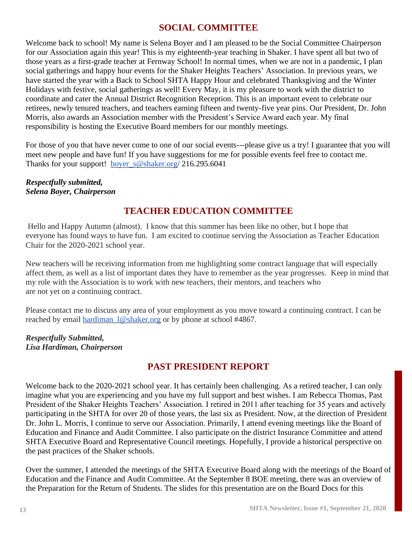## **SOCIAL COMMITTEE**

Welcome back to school! My name is Selena Boyer and I am pleased to be the Social Committee Chairperson for our Association again this year! This is my eighteenth-year teaching in Shaker. I have spent all but two of those years as a first-grade teacher at Fernway School! In normal times, when we are not in a pandemic, I plan social gatherings and happy hour events for the Shaker Heights Teachers' Association. In previous years, we have started the year with a Back to School SHTA Happy Hour and celebrated Thanksgiving and the Winter Holidays with festive, social gatherings as well! Every May, it is my pleasure to work with the district to coordinate and cater the Annual District Recognition Reception. This is an important event to celebrate our retirees, newly tenured teachers, and teachers earning fifteen and twenty-five year pins. Our President, Dr. John Morris, also awards an Association member with the President's Service Award each year. My final responsibility is hosting the Executive Board members for our monthly meetings.

For those of you that have never come to one of our social events---please give us a try! I guarantee that you will meet new people and have fun! If you have suggestions for me for possible events feel free to contact me. Thanks for your support! boyer  $s@shaker.org/ 216.295.6041$ 

#### *Respectfully submitted, Selena Boyer, Chairperson*

# **TEACHER EDUCATION COMMITTEE**

Hello and Happy Autumn (almost). I know that this summer has been like no other, but I hope that everyone has found ways to have fun. I am excited to continue serving the Association as Teacher Education Chair for the 2020-2021 school year.

New teachers will be receiving information from me highlighting some contract language that will especially affect them, as well as a list of important dates they have to remember as the year progresses. Keep in mind that my role with the Association is to work with new teachers, their mentors, and teachers who are not yet on a continuing contract.

Please contact me to discuss any area of your employment as you move toward a continuing contract. I can be reached by email hardiman  $l@shaker.org$  or by phone at school #4867.

*Respectfully Submitted, Lisa Hardiman, Chairperson*

# **PAST PRESIDENT REPORT**

Welcome back to the 2020-2021 school year. It has certainly been challenging. As a retired teacher, I can only imagine what you are experiencing and you have my full support and best wishes. I am Rebecca Thomas, Past President of the Shaker Heights Teachers' Association. I retired in 2011 after teaching for 35 years and actively participating in the SHTA for over 20 of those years, the last six as President. Now, at the direction of President Dr. John L. Morris, I continue to serve our Association. Primarily, I attend evening meetings like the Board of Education and Finance and Audit Committee. I also participate on the district Insurance Committee and attend SHTA Executive Board and Representative Council meetings. Hopefully, I provide a historical perspective on the past practices of the Shaker schools.

Over the summer, I attended the meetings of the SHTA Executive Board along with the meetings of the Board of Education and the Finance and Audit Committee. At the September 8 BOE meeting, there was an overview of the Preparation for the Return of Students. The slides for this presentation are on the Board Docs for this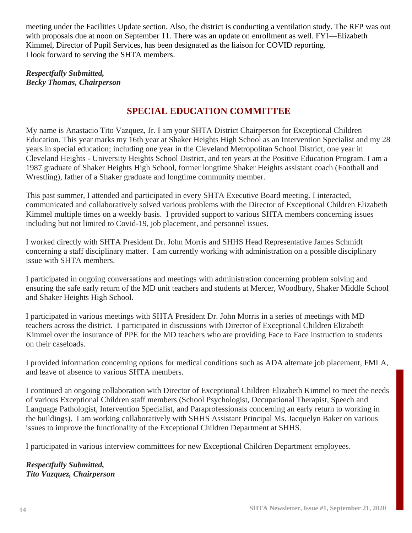meeting under the Facilities Update section. Also, the district is conducting a ventilation study. The RFP was out with proposals due at noon on September 11. There was an update on enrollment as well. FYI—Elizabeth Kimmel, Director of Pupil Services, has been designated as the liaison for COVID reporting. I look forward to serving the SHTA members.

*Respectfully Submitted, Becky Thomas, Chairperson*

# **SPECIAL EDUCATION COMMITTEE**

My name is Anastacio Tito Vazquez, Jr. I am your SHTA District Chairperson for Exceptional Children Education. This year marks my 16th year at Shaker Heights High School as an Intervention Specialist and my 28 years in special education; including one year in the Cleveland Metropolitan School District, one year in Cleveland Heights - University Heights School District, and ten years at the Positive Education Program. I am a 1987 graduate of Shaker Heights High School, former longtime Shaker Heights assistant coach (Football and Wrestling), father of a Shaker graduate and longtime community member.

This past summer, I attended and participated in every SHTA Executive Board meeting. I interacted, communicated and collaboratively solved various problems with the Director of Exceptional Children Elizabeth Kimmel multiple times on a weekly basis. I provided support to various SHTA members concerning issues including but not limited to Covid-19, job placement, and personnel issues.

I worked directly with SHTA President Dr. John Morris and SHHS Head Representative James Schmidt concerning a staff disciplinary matter. I am currently working with administration on a possible disciplinary issue with SHTA members.

I participated in ongoing conversations and meetings with administration concerning problem solving and ensuring the safe early return of the MD unit teachers and students at Mercer, Woodbury, Shaker Middle School and Shaker Heights High School.

I participated in various meetings with SHTA President Dr. John Morris in a series of meetings with MD teachers across the district. I participated in discussions with Director of Exceptional Children Elizabeth Kimmel over the insurance of PPE for the MD teachers who are providing Face to Face instruction to students on their caseloads.

I provided information concerning options for medical conditions such as ADA alternate job placement, FMLA, and leave of absence to various SHTA members.

I continued an ongoing collaboration with Director of Exceptional Children Elizabeth Kimmel to meet the needs of various Exceptional Children staff members (School Psychologist, Occupational Therapist, Speech and Language Pathologist, Intervention Specialist, and Paraprofessionals concerning an early return to working in the buildings). I am working collaboratively with SHHS Assistant Principal Ms. Jacquelyn Baker on various issues to improve the functionality of the Exceptional Children Department at SHHS.

I participated in various interview committees for new Exceptional Children Department employees.

*Respectfully Submitted, Tito Vazquez, Chairperson*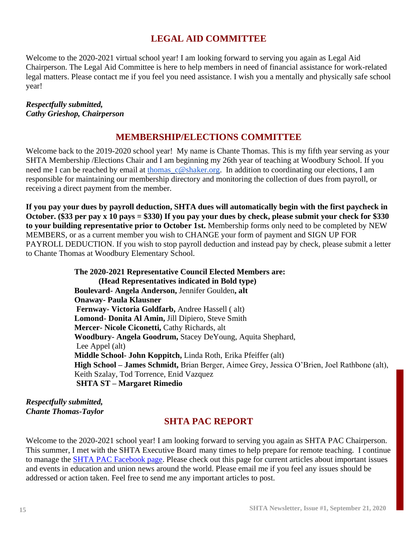# **LEGAL AID COMMITTEE**

Welcome to the 2020-2021 virtual school year! I am looking forward to serving you again as Legal Aid Chairperson. The Legal Aid Committee is here to help members in need of financial assistance for work-related legal matters. Please contact me if you feel you need assistance. I wish you a mentally and physically safe school year!

#### *Respectfully submitted, Cathy Grieshop, Chairperson*

#### **MEMBERSHIP/ELECTIONS COMMITTEE**

Welcome back to the 2019-2020 school year! My name is Chante Thomas. This is my fifth year serving as your SHTA Membership /Elections Chair and I am beginning my 26th year of teaching at Woodbury School. If you need me I can be reached by email at thomas  $c@shaker.org$ . In addition to coordinating our elections, I am responsible for maintaining our membership directory and monitoring the collection of dues from payroll, or receiving a direct payment from the member.

**If you pay your dues by payroll deduction, SHTA dues will automatically begin with the first paycheck in October. (\$33 per pay x 10 pays = \$330) If you pay your dues by check, please submit your check for \$330 to your building representative prior to October 1st.** Membership forms only need to be completed by NEW MEMBERS, or as a current member you wish to CHANGE your form of payment and SIGN UP FOR PAYROLL DEDUCTION. If you wish to stop payroll deduction and instead pay by check, please submit a letter to Chante Thomas at Woodbury Elementary School.

> **The 2020-2021 Representative Council Elected Members are: (Head Representatives indicated in Bold type) Boulevard- Angela Anderson,** Jennifer Goulden**, alt Onaway- Paula Klausner Fernway- Victoria Goldfarb,** Andree Hassell ( alt) **Lomond- Donita Al Amin,** Jill Dipiero, Steve Smith **Mercer- Nicole Ciconetti,** Cathy Richards, alt **Woodbury- Angela Goodrum,** Stacey DeYoung, Aquita Shephard, Lee Appel (alt) **Middle School- John Koppitch,** Linda Roth, Erika Pfeiffer (alt) **High School – James Schmidt,** Brian Berger, Aimee Grey, Jessica O'Brien, Joel Rathbone (alt), Keith Szalay, Tod Torrence, Enid Vazquez **SHTA ST – Margaret Rimedio**

*Respectfully submitted, Chante Thomas-Taylor*

#### **SHTA PAC REPORT**

Welcome to the 2020-2021 school year! I am looking forward to serving you again as SHTA PAC Chairperson. This summer, I met with the SHTA Executive Board many times to help prepare for remote teaching. I continue to manage the [SHTA PAC Facebook page.](https://www.facebook.com/groups/218943172136501) Please check out this page for current articles about important issues and events in education and union news around the world. Please email me if you feel any issues should be addressed or action taken. Feel free to send me any important articles to post.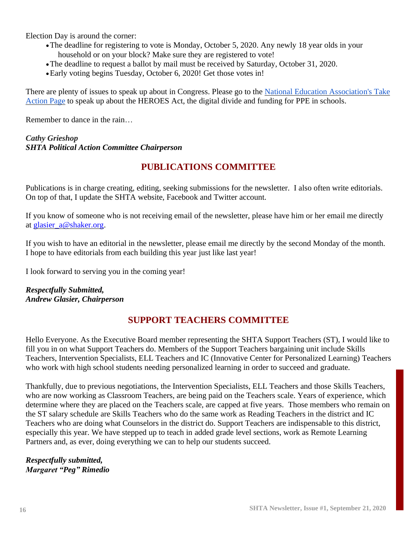Election Day is around the corner:

- •The deadline for registering to vote is Monday, October 5, 2020. Any newly 18 year olds in your household or on your block? Make sure they are registered to vote!
- •The deadline to request a ballot by mail must be received by Saturday, October 31, 2020.
- •Early voting begins Tuesday, October 6, 2020! Get those votes in!

There are plenty of issues to speak up about in Congress. Please go to the [National Education Association's Take](https://educationvotes.nea.org/issue/covid-19/?kiosk=true#actions)  [Action Page](https://educationvotes.nea.org/issue/covid-19/?kiosk=true#actions) to speak up about the HEROES Act, the digital divide and funding for PPE in schools.

Remember to dance in the rain…

#### *Cathy Grieshop SHTA Political Action Committee Chairperson*

## **PUBLICATIONS COMMITTEE**

Publications is in charge creating, editing, seeking submissions for the newsletter. I also often write editorials. On top of that, I update the SHTA website, Facebook and Twitter account.

If you know of someone who is not receiving email of the newsletter, please have him or her email me directly at [glasier\\_a@shaker.org.](mailto:glasier_a@shaker.org)

If you wish to have an editorial in the newsletter, please email me directly by the second Monday of the month. I hope to have editorials from each building this year just like last year!

I look forward to serving you in the coming year!

*Respectfully Submitted, Andrew Glasier, Chairperson*

#### **SUPPORT TEACHERS COMMITTEE**

Hello Everyone. As the Executive Board member representing the SHTA Support Teachers (ST), I would like to fill you in on what Support Teachers do. Members of the Support Teachers bargaining unit include Skills Teachers, Intervention Specialists, ELL Teachers and IC (Innovative Center for Personalized Learning) Teachers who work with high school students needing personalized learning in order to succeed and graduate.

Thankfully, due to previous negotiations, the Intervention Specialists, ELL Teachers and those Skills Teachers, who are now working as Classroom Teachers, are being paid on the Teachers scale. Years of experience, which determine where they are placed on the Teachers scale, are capped at five years. Those members who remain on the ST salary schedule are Skills Teachers who do the same work as Reading Teachers in the district and IC Teachers who are doing what Counselors in the district do. Support Teachers are indispensable to this district, especially this year. We have stepped up to teach in added grade level sections, work as Remote Learning Partners and, as ever, doing everything we can to help our students succeed.

*Respectfully submitted, Margaret "Peg" Rimedio*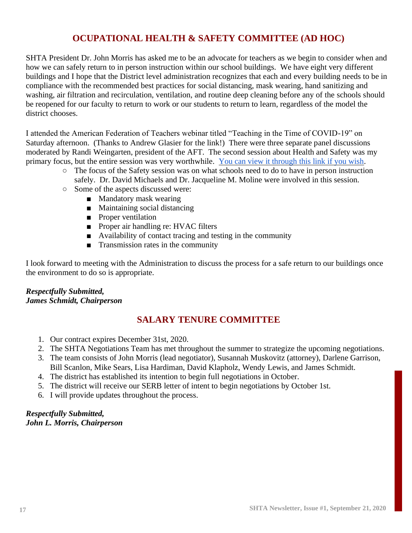# **OCUPATIONAL HEALTH & SAFETY COMMITTEE (AD HOC)**

SHTA President Dr. John Morris has asked me to be an advocate for teachers as we begin to consider when and how we can safely return to in person instruction within our school buildings. We have eight very different buildings and I hope that the District level administration recognizes that each and every building needs to be in compliance with the recommended best practices for social distancing, mask wearing, hand sanitizing and washing, air filtration and recirculation, ventilation, and routine deep cleaning before any of the schools should be reopened for our faculty to return to work or our students to return to learn, regardless of the model the district chooses.

I attended the American Federation of Teachers webinar titled "Teaching in the Time of COVID-19" on Saturday afternoon. (Thanks to Andrew Glasier for the link!) There were three separate panel discussions moderated by Randi Weingarten, president of the AFT. The second session about Health and Safety was my primary focus, but the entire session was very worthwhile. [You can view it through this link if you wish.](https://event.on24.com/wcc/r/2639314/EA7731FB3511DC095D0E79FE0235828C?mode=login&email=schmidt_j@shaker.org)

- The focus of the Safety session was on what schools need to do to have in person instruction safely. Dr. David Michaels and Dr. Jacqueline M. Moline were involved in this session.
- Some of the aspects discussed were:
	- Mandatory mask wearing
	- Maintaining social distancing
	- Proper ventilation
	- Proper air handling re: HVAC filters
	- Availability of contact tracing and testing in the community
	- Transmission rates in the community

I look forward to meeting with the Administration to discuss the process for a safe return to our buildings once the environment to do so is appropriate.

#### *Respectfully Submitted, James Schmidt, Chairperson*

# **SALARY TENURE COMMITTEE**

- 1. Our contract expires December 31st, 2020.
- 2. The SHTA Negotiations Team has met throughout the summer to strategize the upcoming negotiations.
- 3. The team consists of John Morris (lead negotiator), Susannah Muskovitz (attorney), Darlene Garrison, Bill Scanlon, Mike Sears, Lisa Hardiman, David Klapholz, Wendy Lewis, and James Schmidt.
- 4. The district has established its intention to begin full negotiations in October.
- 5. The district will receive our SERB letter of intent to begin negotiations by October 1st.
- 6. I will provide updates throughout the process.

#### *Respectfully Submitted, John L. Morris, Chairperson*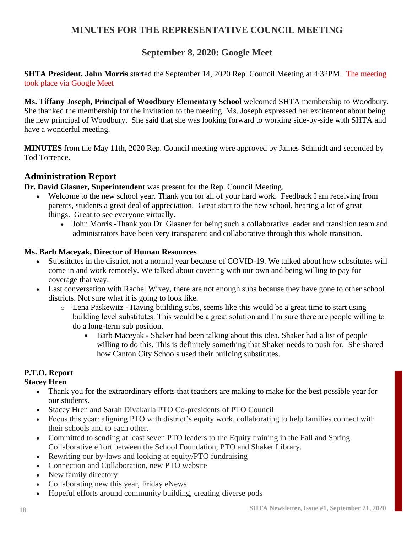## **MINUTES FOR THE REPRESENTATIVE COUNCIL MEETING**

# **September 8, 2020: Google Meet**

**SHTA President, John Morris** started the September 14, 2020 Rep. Council Meeting at 4:32PM. The meeting took place via Google Meet

**Ms. Tiffany Joseph, Principal of Woodbury Elementary School** welcomed SHTA membership to Woodbury. She thanked the membership for the invitation to the meeting. Ms. Joseph expressed her excitement about being the new principal of Woodbury. She said that she was looking forward to working side-by-side with SHTA and have a wonderful meeting.

**MINUTES** from the May 11th, 2020 Rep. Council meeting were approved by James Schmidt and seconded by Tod Torrence.

#### **Administration Report**

**Dr. David Glasner, Superintendent** was present for the Rep. Council Meeting.

- Welcome to the new school year. Thank you for all of your hard work. Feedback I am receiving from parents, students a great deal of appreciation. Great start to the new school, hearing a lot of great things. Great to see everyone virtually.
	- John Morris -Thank you Dr. Glasner for being such a collaborative leader and transition team and administrators have been very transparent and collaborative through this whole transition.

#### **Ms. Barb Maceyak, Director of Human Resources**

- Substitutes in the district, not a normal year because of COVID-19. We talked about how substitutes will come in and work remotely. We talked about covering with our own and being willing to pay for coverage that way.
- Last conversation with Rachel Wixey, there are not enough subs because they have gone to other school districts. Not sure what it is going to look like.
	- o Lena Paskewitz Having building subs, seems like this would be a great time to start using building level substitutes. This would be a great solution and I'm sure there are people willing to do a long-term sub position.
		- Barb Maceyak Shaker had been talking about this idea. Shaker had a list of people willing to do this. This is definitely something that Shaker needs to push for. She shared how Canton City Schools used their building substitutes.

#### **P.T.O. Report**

#### **Stacey Hren**

- Thank you for the extraordinary efforts that teachers are making to make for the best possible year for our students.
- Stacey Hren and Sarah Divakarla PTO Co-presidents of PTO Council
- Focus this year: aligning PTO with district's equity work, collaborating to help families connect with their schools and to each other.
- Committed to sending at least seven PTO leaders to the Equity training in the Fall and Spring. Collaborative effort between the School Foundation, PTO and Shaker Library.
- Rewriting our by-laws and looking at equity/PTO fundraising
- Connection and Collaboration, new PTO website
- New family directory
- Collaborating new this year, Friday eNews
- Hopeful efforts around community building, creating diverse pods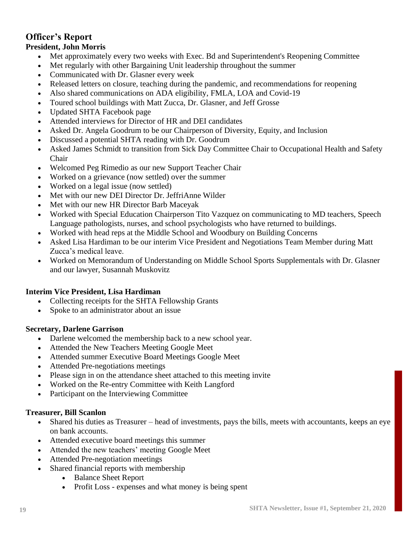# **Officer's Report**

#### **President, John Morris**

- Met approximately every two weeks with Exec. Bd and Superintendent's Reopening Committee
- Met regularly with other Bargaining Unit leadership throughout the summer
- Communicated with Dr. Glasner every week
- Released letters on closure, teaching during the pandemic, and recommendations for reopening
- Also shared communications on ADA eligibility, FMLA, LOA and Covid-19
- Toured school buildings with Matt Zucca, Dr. Glasner, and Jeff Grosse
- Updated SHTA Facebook page
- Attended interviews for Director of HR and DEI candidates
- Asked Dr. Angela Goodrum to be our Chairperson of Diversity, Equity, and Inclusion
- Discussed a potential SHTA reading with Dr. Goodrum
- Asked James Schmidt to transition from Sick Day Committee Chair to Occupational Health and Safety Chair
- Welcomed Peg Rimedio as our new Support Teacher Chair
- Worked on a grievance (now settled) over the summer
- Worked on a legal issue (now settled)
- Met with our new DEI Director Dr. JeffriAnne Wilder
- Met with our new HR Director Barb Maceyak
- Worked with Special Education Chairperson Tito Vazquez on communicating to MD teachers, Speech Language pathologists, nurses, and school psychologists who have returned to buildings.
- Worked with head reps at the Middle School and Woodbury on Building Concerns
- Asked Lisa Hardiman to be our interim Vice President and Negotiations Team Member during Matt Zucca's medical leave.
- Worked on Memorandum of Understanding on Middle School Sports Supplementals with Dr. Glasner and our lawyer, Susannah Muskovitz

#### **Interim Vice President, Lisa Hardiman**

- Collecting receipts for the SHTA Fellowship Grants
- Spoke to an administrator about an issue

#### **Secretary, Darlene Garrison**

- Darlene welcomed the membership back to a new school year.
- Attended the New Teachers Meeting Google Meet
- Attended summer Executive Board Meetings Google Meet
- Attended Pre-negotiations meetings
- Please sign in on the attendance sheet attached to this meeting invite
- Worked on the Re-entry Committee with Keith Langford
- Participant on the Interviewing Committee

#### **Treasurer, Bill Scanlon**

- Shared his duties as Treasurer head of investments, pays the bills, meets with accountants, keeps an eye on bank accounts.
- Attended executive board meetings this summer
- Attended the new teachers' meeting Google Meet
- Attended Pre-negotiation meetings
- Shared financial reports with membership
	- Balance Sheet Report
	- Profit Loss expenses and what money is being spent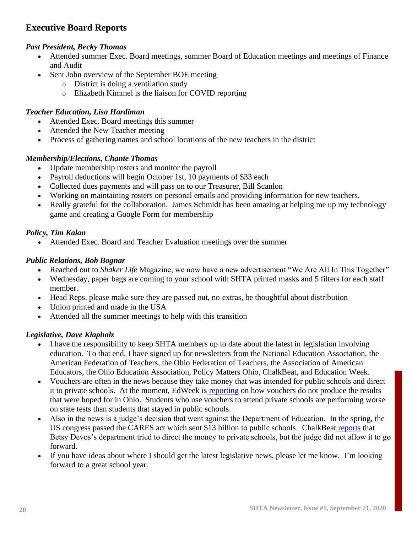# **Executive Board Reports**

#### *Past President, Becky Thomas*

- Attended summer Exec. Board meetings, summer Board of Education meetings and meetings of Finance and Audit
- Sent John overview of the September BOE meeting
	- o District is doing a ventilation study
	- o Elizabeth Kimmel is the liaison for COVID reporting

#### *Teacher Education, Lisa Hardiman*

- Attended Exec. Board meetings this summer
- Attended the New Teacher meeting
- Process of gathering names and school locations of the new teachers in the district

#### *Membership/Elections, Chante Thomas*

- Update membership rosters and monitor the payroll
- Payroll deductions will begin October 1st, 10 payments of \$33 each
- Collected dues payments and will pass on to our Treasurer, Bill Scanlon
- Working on maintaining rosters on personal emails and providing information for new teachers.
- Really grateful for the collaboration. James Schmidt has been amazing at helping me up my technology game and creating a Google Form for membership

#### *Policy, Tim Kalan*

• Attended Exec. Board and Teacher Evaluation meetings over the summer

#### *Public Relations, Bob Bognar*

- Reached out to *Shaker Life* Magazine, we now have a new advertisement "We Are All In This Together"
- Wednesday, paper bags are coming to your school with SHTA printed masks and 5 filters for each staff member.
- Head Reps. please make sure they are passed out, no extras, be thoughtful about distribution
- Union printed and made in the USA
- Attended all the summer meetings to help with this transition

#### *Legislative, Dave Klapholz*

- I have the responsibility to keep SHTA members up to date about the latest in legislation involving education. To that end, I have signed up for newsletters from the National Education Association, the American Federation of Teachers, the Ohio Federation of Teachers, the Association of American Educators, the Ohio Education Association, Policy Matters Ohio, ChalkBeat, and Education Week.
- Vouchers are often in the news because they take money that was intended for public schools and direct it to private schools. At the moment, EdWeek is [reporting](http://blogs.edweek.org/edweek/charterschoice/2016/07/ohio_vouchers_have_mixed_impact_on_student_performance_study_finds.html) on how vouchers do not produce the results that were hoped for in Ohio. Students who use vouchers to attend private schools are performing worse on state tests than students that stayed in public schools.
- Also in the news is a judge's decision that went against the Department of Education. In the spring, the US congress passed the CARES act which sent \$13 billion to public schools. ChalkBeat [reports](https://www.chalkbeat.org/2020/9/8/21427198/judge-devos-private-schools-rule) that Betsy Devos's department tried to direct the money to private schools, but the judge did not allow it to go forward.
- If you have ideas about where I should get the latest legislative news, please let me know. I'm looking forward to a great school year.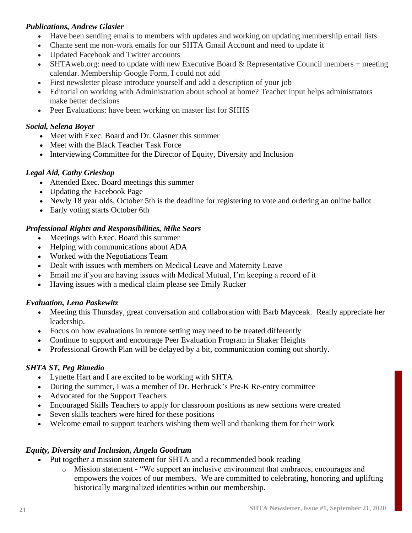#### *Publications, Andrew Glasier*

- Have been sending emails to members with updates and working on updating membership email lists
- Chante sent me non-work emails for our SHTA Gmail Account and need to update it
- Updated Facebook and Twitter accounts
- SHTAweb.org: need to update with new Executive Board & Representative Council members + meeting calendar. Membership Google Form, I could not add
- First newsletter please introduce yourself and add a description of your job
- Editorial on working with Administration about school at home? Teacher input helps administrators make better decisions
- Peer Evaluations: have been working on master list for SHHS

#### *Social, Selena Boyer*

- Meet with Exec. Board and Dr. Glasner this summer
- Meet with the Black Teacher Task Force
- Interviewing Committee for the Director of Equity, Diversity and Inclusion

#### *Legal Aid, Cathy Grieshop*

- Attended Exec. Board meetings this summer
- Updating the Facebook Page
- Newly 18 year olds, October 5th is the deadline for registering to vote and ordering an online ballot
- Early voting starts October 6th

#### *Professional Rights and Responsibilities, Mike Sears*

- Meetings with Exec. Board this summer
- Helping with communications about ADA
- Worked with the Negotiations Team
- Dealt with issues with members on Medical Leave and Maternity Leave
- Email me if you are having issues with Medical Mutual, I'm keeping a record of it
- Having issues with a medical claim please see Emily Rucker

#### *Evaluation, Lena Paskewitz*

- Meeting this Thursday, great conversation and collaboration with Barb Mayceak. Really appreciate her leadership.
- Focus on how evaluations in remote setting may need to be treated differently
- Continue to support and encourage Peer Evaluation Program in Shaker Heights
- Professional Growth Plan will be delayed by a bit, communication coming out shortly.

#### *SHTA ST, Peg Rimedio*

- Lynette Hart and I are excited to be working with SHTA
- During the summer, I was a member of Dr. Herbruck's Pre-K Re-entry committee
- Advocated for the Support Teachers
- Encouraged Skills Teachers to apply for classroom positions as new sections were created
- Seven skills teachers were hired for these positions
- Welcome email to support teachers wishing them well and thanking them for their work

#### *Equity, Diversity and Inclusion, Angela Goodrum*

- Put together a mission statement for SHTA and a recommended book reading
	- o Mission statement "We support an inclusive environment that embraces, encourages and empowers the voices of our members. We are committed to celebrating, honoring and uplifting historically marginalized identities within our membership.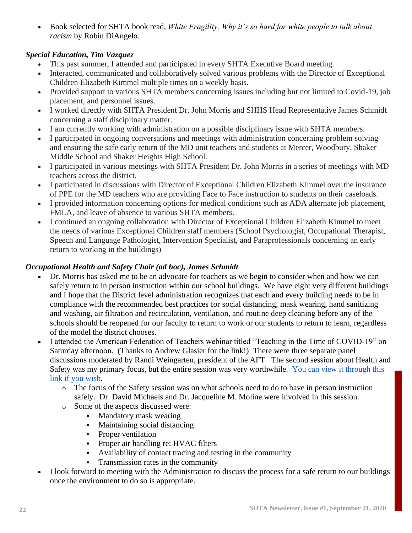• Book selected for SHTA book read, *White Fragility, Why it's so hard for white people to talk about racism* by Robin DiAngelo.

#### *Special Education, Tito Vazquez*

- This past summer, I attended and participated in every SHTA Executive Board meeting.
- Interacted, communicated and collaboratively solved various problems with the Director of Exceptional Children Elizabeth Kimmel multiple times on a weekly basis.
- Provided support to various SHTA members concerning issues including but not limited to Covid-19, job placement, and personnel issues.
- I worked directly with SHTA President Dr. John Morris and SHHS Head Representative James Schmidt concerning a staff disciplinary matter.
- I am currently working with administration on a possible disciplinary issue with SHTA members.
- I participated in ongoing conversations and meetings with administration concerning problem solving and ensuring the safe early return of the MD unit teachers and students at Mercer, Woodbury, Shaker Middle School and Shaker Heights High School.
- I participated in various meetings with SHTA President Dr. John Morris in a series of meetings with MD teachers across the district.
- I participated in discussions with Director of Exceptional Children Elizabeth Kimmel over the insurance of PPE for the MD teachers who are providing Face to Face instruction to students on their caseloads.
- I provided information concerning options for medical conditions such as ADA alternate job placement, FMLA, and leave of absence to various SHTA members.
- I continued an ongoing collaboration with Director of Exceptional Children Elizabeth Kimmel to meet the needs of various Exceptional Children staff members (School Psychologist, Occupational Therapist, Speech and Language Pathologist, Intervention Specialist, and Paraprofessionals concerning an early return to working in the buildings)

#### *Occupational Health and Safety Chair (ad hoc), James Schmidt*

- Dr. Morris has asked me to be an advocate for teachers as we begin to consider when and how we can safely return to in person instruction within our school buildings. We have eight very different buildings and I hope that the District level administration recognizes that each and every building needs to be in compliance with the recommended best practices for social distancing, mask wearing, hand sanitizing and washing, air filtration and recirculation, ventilation, and routine deep cleaning before any of the schools should be reopened for our faculty to return to work or our students to return to learn, regardless of the model the district chooses.
- I attended the American Federation of Teachers webinar titled "Teaching in the Time of COVID-19" on Saturday afternoon. (Thanks to Andrew Glasier for the link!) There were three separate panel discussions moderated by Randi Weingarten, president of the AFT. The second session about Health and Safety was my primary focus, but the entire session was very worthwhile. [You can view it through this](https://event.on24.com/wcc/r/2639314/EA7731FB3511DC095D0E79FE0235828C?mode=login&email=schmidt_j@shaker.org)  [link if you wish.](https://event.on24.com/wcc/r/2639314/EA7731FB3511DC095D0E79FE0235828C?mode=login&email=schmidt_j@shaker.org)
	- $\circ$  The focus of the Safety session was on what schools need to do to have in person instruction safely. Dr. David Michaels and Dr. Jacqueline M. Moline were involved in this session.
	- o Some of the aspects discussed were:
		- **•** Mandatory mask wearing
		- Maintaining social distancing
		- Proper ventilation
		- Proper air handling re: HVAC filters
		- Availability of contact tracing and testing in the community
		- Transmission rates in the community
- I look forward to meeting with the Administration to discuss the process for a safe return to our buildings once the environment to do so is appropriate.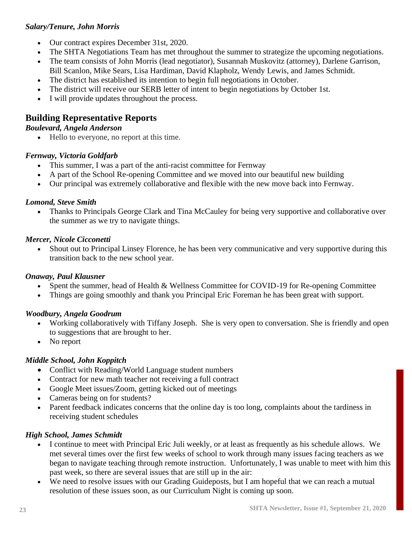#### *Salary/Tenure, John Morris*

- Our contract expires December 31st, 2020.
- The SHTA Negotiations Team has met throughout the summer to strategize the upcoming negotiations.
- The team consists of John Morris (lead negotiator), Susannah Muskovitz (attorney), Darlene Garrison, Bill Scanlon, Mike Sears, Lisa Hardiman, David Klapholz, Wendy Lewis, and James Schmidt.
- The district has established its intention to begin full negotiations in October.
- The district will receive our SERB letter of intent to begin negotiations by October 1st.
- I will provide updates throughout the process.

# **Building Representative Reports**

#### *Boulevard, Angela Anderson*

• Hello to everyone, no report at this time.

#### *Fernway, Victoria Goldfarb*

- This summer, I was a part of the anti-racist committee for Fernway
- A part of the School Re-opening Committee and we moved into our beautiful new building
- Our principal was extremely collaborative and flexible with the new move back into Fernway.

#### *Lomond, Steve Smith*

• Thanks to Principals George Clark and Tina McCauley for being very supportive and collaborative over the summer as we try to navigate things.

#### *Mercer, Nicole Cicconetti*

• Shout out to Principal Linsey Florence, he has been very communicative and very supportive during this transition back to the new school year.

#### *Onaway, Paul Klausner*

- Spent the summer, head of Health & Wellness Committee for COVID-19 for Re-opening Committee
- Things are going smoothly and thank you Principal Eric Foreman he has been great with support.

#### *Woodbury, Angela Goodrum*

- Working collaboratively with Tiffany Joseph. She is very open to conversation. She is friendly and open to suggestions that are brought to her.
- No report

#### *Middle School, John Koppitch*

- Conflict with Reading/World Language student numbers
- Contract for new math teacher not receiving a full contract
- Google Meet issues/Zoom, getting kicked out of meetings
- Cameras being on for students?
- Parent feedback indicates concerns that the online day is too long, complaints about the tardiness in receiving student schedules

#### *High School, James Schmidt*

- I continue to meet with Principal Eric Juli weekly, or at least as frequently as his schedule allows. We met several times over the first few weeks of school to work through many issues facing teachers as we began to navigate teaching through remote instruction. Unfortunately, I was unable to meet with him this past week, so there are several issues that are still up in the air:
- We need to resolve issues with our Grading Guideposts, but I am hopeful that we can reach a mutual resolution of these issues soon, as our Curriculum Night is coming up soon.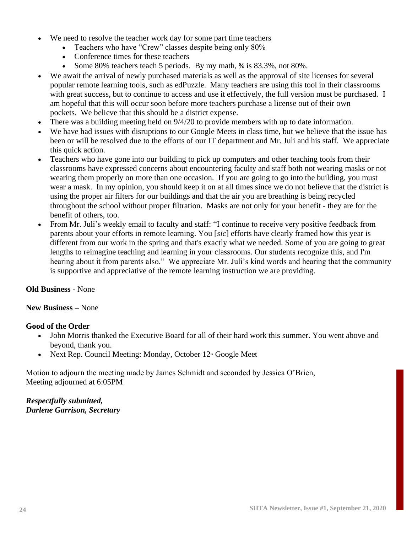- We need to resolve the teacher work day for some part time teachers
	- Teachers who have "Crew" classes despite being only 80%
	- Conference times for these teachers
	- Some 80% teachers teach 5 periods. By my math,  $\frac{5}{6}$  is 83.3%, not 80%.
- We await the arrival of newly purchased materials as well as the approval of site licenses for several popular remote learning tools, such as edPuzzle. Many teachers are using this tool in their classrooms with great success, but to continue to access and use it effectively, the full version must be purchased. I am hopeful that this will occur soon before more teachers purchase a license out of their own pockets. We believe that this should be a district expense.
- There was a building meeting held on  $9/4/20$  to provide members with up to date information.
- We have had issues with disruptions to our Google Meets in class time, but we believe that the issue has been or will be resolved due to the efforts of our IT department and Mr. Juli and his staff. We appreciate this quick action.
- Teachers who have gone into our building to pick up computers and other teaching tools from their classrooms have expressed concerns about encountering faculty and staff both not wearing masks or not wearing them properly on more than one occasion. If you are going to go into the building, you must wear a mask. In my opinion, you should keep it on at all times since we do not believe that the district is using the proper air filters for our buildings and that the air you are breathing is being recycled throughout the school without proper filtration. Masks are not only for your benefit - they are for the benefit of others, too.
- From Mr. Juli's weekly email to faculty and staff: "I continue to receive very positive feedback from parents about your efforts in remote learning. You [*sic*] efforts have clearly framed how this year is different from our work in the spring and that's exactly what we needed. Some of you are going to great lengths to reimagine teaching and learning in your classrooms. Our students recognize this, and I'm hearing about it from parents also." We appreciate Mr. Juli's kind words and hearing that the community is supportive and appreciative of the remote learning instruction we are providing.

#### **Old Business** - None

#### **New Business –** None

#### **Good of the Order**

- John Morris thanked the Executive Board for all of their hard work this summer. You went above and beyond, thank you.
- Next Rep. Council Meeting: Monday, October  $12<sup>th</sup>$  Google Meet

Motion to adjourn the meeting made by James Schmidt and seconded by Jessica O'Brien, Meeting adjourned at 6:05PM

*Respectfully submitted, Darlene Garrison, Secretary*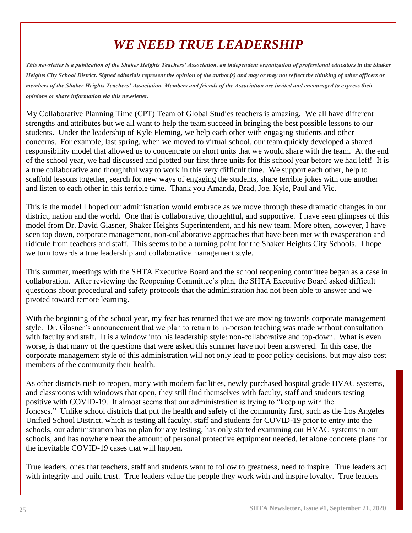# *WE NEED TRUE LEADERSHIP*

*This newsletter is a publication of the Shaker Heights Teachers' Association, an independent organization of professional educators in the Shaker Heights City School District. Signed editorials represent the opinion of the author(s) and may or may not reflect the thinking of other officers or members of the Shaker Heights Teachers' Association. Members and friends of the Association are invited and encouraged to express their opinions or share information via this newsletter.*

My Collaborative Planning Time (CPT) Team of Global Studies teachers is amazing. We all have different strengths and attributes but we all want to help the team succeed in bringing the best possible lessons to our students. Under the leadership of Kyle Fleming, we help each other with engaging students and other concerns. For example, last spring, when we moved to virtual school, our team quickly developed a shared responsibility model that allowed us to concentrate on short units that we would share with the team. At the end of the school year, we had discussed and plotted our first three units for this school year before we had left! It is a true collaborative and thoughtful way to work in this very difficult time. We support each other, help to scaffold lessons together, search for new ways of engaging the students, share terrible jokes with one another and listen to each other in this terrible time. Thank you Amanda, Brad, Joe, Kyle, Paul and Vic.

This is the model I hoped our administration would embrace as we move through these dramatic changes in our district, nation and the world. One that is collaborative, thoughtful, and supportive. I have seen glimpses of this model from Dr. David Glasner, Shaker Heights Superintendent, and his new team. More often, however, I have seen top down, corporate management, non-collaborative approaches that have been met with exasperation and ridicule from teachers and staff. This seems to be a turning point for the Shaker Heights City Schools. I hope we turn towards a true leadership and collaborative management style.

This summer, meetings with the SHTA Executive Board and the school reopening committee began as a case in collaboration. After reviewing the Reopening Committee's plan, the SHTA Executive Board asked difficult questions about procedural and safety protocols that the administration had not been able to answer and we pivoted toward remote learning.

With the beginning of the school year, my fear has returned that we are moving towards corporate management style. Dr. Glasner's announcement that we plan to return to in-person teaching was made without consultation with faculty and staff. It is a window into his leadership style: non-collaborative and top-down. What is even worse, is that many of the questions that were asked this summer have not been answered. In this case, the corporate management style of this administration will not only lead to poor policy decisions, but may also cost members of the community their health.

As other districts rush to reopen, many with modern facilities, newly purchased hospital grade HVAC systems, and classrooms with windows that open, they still find themselves with faculty, staff and students testing positive with COVID-19. It almost seems that our administration is trying to "keep up with the Joneses." Unlike school districts that put the health and safety of the community first, such as the Los Angeles Unified School District, which is testing all faculty, staff and students for COVID-19 prior to entry into the schools, our administration has no plan for any testing, has only started examining our HVAC systems in our schools, and has nowhere near the amount of personal protective equipment needed, let alone concrete plans for the inevitable COVID-19 cases that will happen.

True leaders, ones that teachers, staff and students want to follow to greatness, need to inspire. True leaders act with integrity and build trust. True leaders value the people they work with and inspire loyalty. True leaders